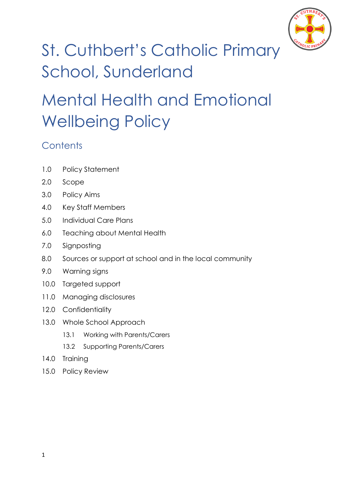

# St. Cuthbert's Catholic Primary School, Sunderland

# Mental Health and Emotional Wellbeing Policy

## **Contents**

- 1.0 Policy Statement
- 2.0 Scope
- 3.0 Policy Aims
- 4.0 Key Staff Members
- 5.0 Individual Care Plans
- 6.0 Teaching about Mental Health
- 7.0 Signposting
- 8.0 Sources or support at school and in the local community
- 9.0 Warning signs
- 10.0 Targeted support
- 11.0 Managing disclosures
- 12.0 Confidentiality
- 13.0 Whole School Approach
	- 13.1 Working with Parents/Carers
	- 13.2 Supporting Parents/Carers
- 14.0 Training
- 15.0 Policy Review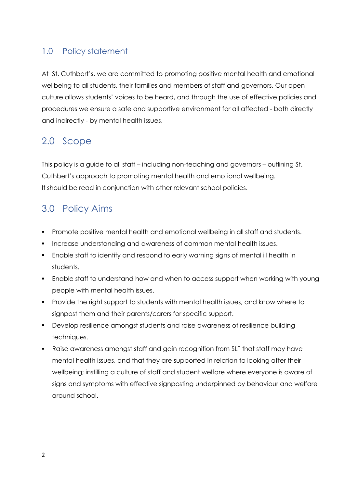### 1.0 Policy statement

At St. Cuthbert's, we are committed to promoting positive mental health and emotional wellbeing to all students, their families and members of staff and governors. Our open culture allows students' voices to be heard, and through the use of effective policies and procedures we ensure a safe and supportive environment for all affected - both directly and indirectly - by mental health issues.

### 2.0 Scope

This policy is a guide to all staff – including non-teaching and governors – outlining St. Cuthbert's approach to promoting mental health and emotional wellbeing. It should be read in conjunction with other relevant school policies.

### 3.0 Policy Aims

- **Promote positive mental health and emotional wellbeing in all staff and students.**
- **Increase understanding and awareness of common mental health issues.**
- Enable staff to identify and respond to early warning signs of mental ill health in students.
- Enable staff to understand how and when to access support when working with young people with mental health issues.
- **Provide the right support to students with mental health issues, and know where to** signpost them and their parents/carers for specific support.
- Develop resilience amongst students and raise awareness of resilience building techniques.
- Raise awareness amongst staff and gain recognition from SLT that staff may have mental health issues, and that they are supported in relation to looking after their wellbeing; instilling a culture of staff and student welfare where everyone is aware of signs and symptoms with effective signposting underpinned by behaviour and welfare around school.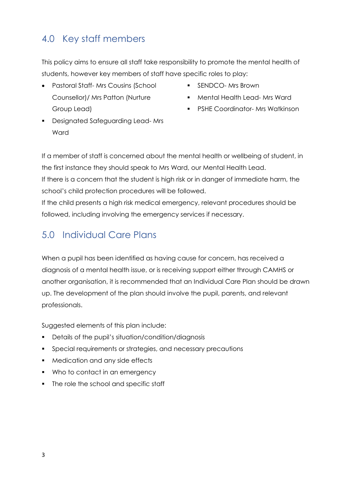# 4.0 Key staff members

This policy aims to ensure all staff take responsibility to promote the mental health of students, however key members of staff have specific roles to play:

- Pastoral Staff- Mrs Cousins (School Counsellor)/ Mrs Patton (Nurture Group Lead)
- **SENDCO-Mrs Brown**
- **Mental Health Lead- Mrs Ward**
- **•** PSHE Coordinator- Mrs Watkinson
- **•** Designated Safeguarding Lead-Mrs Ward

If a member of staff is concerned about the mental health or wellbeing of student, in the first instance they should speak to Mrs Ward, our Mental Health Lead.

If there is a concern that the student is high risk or in danger of immediate harm, the school's child protection procedures will be followed.

If the child presents a high risk medical emergency, relevant procedures should be followed, including involving the emergency services if necessary.

### 5.0 Individual Care Plans

When a pupil has been identified as having cause for concern, has received a diagnosis of a mental health issue, or is receiving support either through CAMHS or another organisation, it is recommended that an Individual Care Plan should be drawn up. The development of the plan should involve the pupil, parents, and relevant professionals.

Suggested elements of this plan include:

- **•** Details of the pupil's situation/condition/diagnosis
- **Special requirements or strategies, and necessary precautions**
- **Medication and any side effects**
- Who to contact in an emergency
- The role the school and specific staff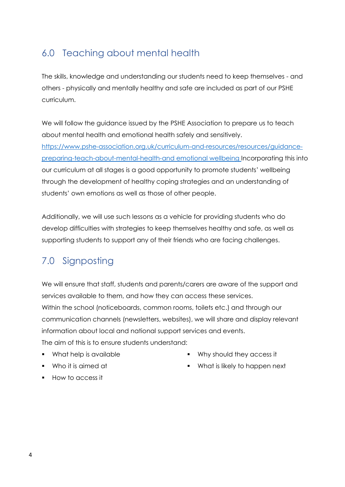### 6.0 Teaching about mental health

The skills, knowledge and understanding our students need to keep themselves - and others - physically and mentally healthy and safe are included as part of our PSHE curriculum.

We will follow the guidance issued by the PSHE Association to prepare us to teach about mental health and emotional health safely and sensitively. [https://www.pshe-association.org.uk/curriculum-and-resources/resources/guidance](https://www.pshe-association.org.uk/curriculum-and-resources/resources/guidance-preparing-teach-about-mental-health-and)[preparing-teach-about-mental-health-and](https://www.pshe-association.org.uk/curriculum-and-resources/resources/guidance-preparing-teach-about-mental-health-and) emotional wellbeing Incorporating this into our curriculum at all stages is a good opportunity to promote students' wellbeing through the development of healthy coping strategies and an understanding of students' own emotions as well as those of other people.

Additionally, we will use such lessons as a vehicle for providing students who do develop difficulties with strategies to keep themselves healthy and safe, as well as supporting students to support any of their friends who are facing challenges.

# 7.0 Signposting

We will ensure that staff, students and parents/carers are aware of the support and services available to them, and how they can access these services. Within the school (noticeboards, common rooms, toilets etc.) and through our communication channels (newsletters, websites), we will share and display relevant information about local and national support services and events. The aim of this is to ensure students understand:

• What help is available

Why should they access it

Who it is aimed at

What is likely to happen next

How to access it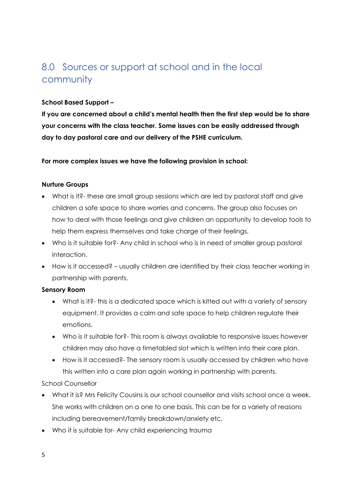### 8.0 Sources or support at school and in the local community

#### **School Based Support –**

**If you are concerned about a child's mental health then the first step would be to share your concerns with the class teacher. Some issues can be easily addressed through day to day pastoral care and our delivery of the PSHE curriculum.**

**For more complex issues we have the following provision in school:**

#### **Nurture Groups**

- What is it?- these are small group sessions which are led by pastoral staff and give children a safe space to share worries and concerns. The group also focuses on how to deal with those feelings and give children an opportunity to develop tools to help them express themselves and take charge of their feelings.
- Who is it suitable for?- Any child in school who is in need of smaller group pastoral interaction.
- How is it accessed? usually children are identified by their class teacher working in partnership with parents.

#### **Sensory Room**

- What is it?- this is a dedicated space which is kitted out with a variety of sensory equipment. It provides a calm and safe space to help children regulate their emotions.
- Who is it suitable for?- This room is always available to responsive issues however children may also have a timetabled slot which is written into their care plan.
- How is it accessed?- The sensory room is usually accessed by children who have this written into a care plan again working in partnership with parents.

#### School Counsellor

- What it is? Mrs Felicity Cousins is our school counsellor and visits school once a week. She works with children on a one to one basis. This can be for a variety of reasons including bereavement/family breakdown/anxiety etc.
- Who it is suitable for- Any child experiencing trauma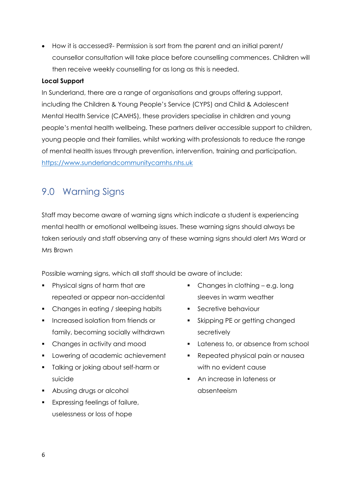How it is accessed?- Permission is sort from the parent and an initial parent/ counsellor consultation will take place before counselling commences. Children will then receive weekly counselling for as long as this is needed.

#### **Local Support**

In Sunderland, there are a range of organisations and groups offering support, including the Children & Young People's Service (CYPS) and Child & Adolescent Mental Health Service (CAMHS), these providers specialise in children and young people's mental health wellbeing. These partners deliver accessible support to children, young people and their families, whilst working with professionals to reduce the range of mental health issues through prevention, intervention, training and participation. [https://www.sunderlandcommunitycamhs.nhs.uk](https://www.sunderlandcommunitycamhs.nhs.uk/)

### 9.0 Warning Signs

Staff may become aware of warning signs which indicate a student is experiencing mental health or emotional wellbeing issues. These warning signs should always be taken seriously and staff observing any of these warning signs should alert Mrs Ward or Mrs Brown

Possible warning signs, which all staff should be aware of include:

- Physical signs of harm that are repeated or appear non-accidental
- Changes in eating / sleeping habits
- **Increased isolation from friends or** family, becoming socially withdrawn
- Changes in activity and mood
- **Lowering of academic achievement**
- **Talking or joking about self-harm or** suicide
- **Abusing drugs or alcohol**
- **Expressing feelings of failure,** uselessness or loss of hope
- Changes in clothing e.g. long sleeves in warm weather
- Secretive behaviour
- Skipping PE or getting changed secretively
- **Lateness to, or absence from school**
- Repeated physical pain or nausea with no evident cause
- An increase in lateness or absenteeism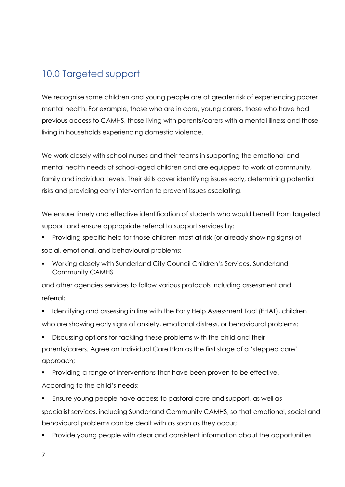### 10.0 Targeted support

We recognise some children and young people are at greater risk of experiencing poorer mental health. For example, those who are in care, young carers, those who have had previous access to CAMHS, those living with parents/carers with a mental illness and those living in households experiencing domestic violence.

We work closely with school nurses and their teams in supporting the emotional and mental health needs of school-aged children and are equipped to work at community, family and individual levels. Their skills cover identifying issues early, determining potential risks and providing early intervention to prevent issues escalating.

We ensure timely and effective identification of students who would benefit from targeted support and ensure appropriate referral to support services by:

- Providing specific help for those children most at risk (or already showing signs) of social, emotional, and behavioural problems;
- Working closely with Sunderland City Council Children's Services, Sunderland Community CAMHS

and other agencies services to follow various protocols including assessment and referral;

- Identifying and assessing in line with the Early Help Assessment Tool (EHAT), children who are showing early signs of anxiety, emotional distress, or behavioural problems;
- Discussing options for tackling these problems with the child and their parents/carers. Agree an Individual Care Plan as the first stage of a 'stepped care' approach;
- **Providing a range of interventions that have been proven to be effective,** According to the child's needs;

 Ensure young people have access to pastoral care and support, as well as specialist services, including Sunderland Community CAMHS, so that emotional, social and behavioural problems can be dealt with as soon as they occur;

Provide young people with clear and consistent information about the opportunities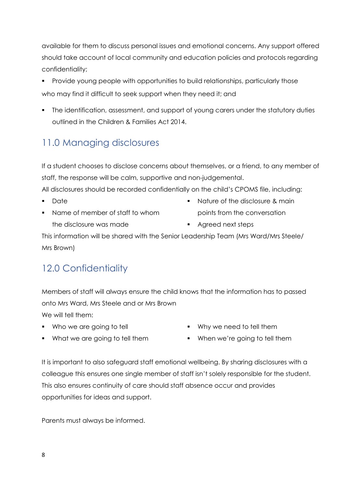available for them to discuss personal issues and emotional concerns. Any support offered should take account of local community and education policies and protocols regarding confidentiality;

- **Provide young people with opportunities to build relationships, particularly those** who may find it difficult to seek support when they need it; and
- The identification, assessment, and support of young carers under the statutory duties outlined in the Children & Families Act 2014.

## 11.0 Managing disclosures

If a student chooses to disclose concerns about themselves, or a friend, to any member of staff, the response will be calm, supportive and non-judgemental.

All disclosures should be recorded confidentially on the child's CPOMS file, including:

- **Date**
- Name of member of staff to whom the disclosure was made
- Nature of the disclosure & main points from the conversation
- **Agreed next steps**

This information will be shared with the Senior Leadership Team (Mrs Ward/Mrs Steele/ Mrs Brown)

# 12.0 Confidentiality

Members of staff will always ensure the child knows that the information has to passed onto Mrs Ward, Mrs Steele and or Mrs Brown

We will tell them:

• Who we are going to tell

- Why we need to tell them
- **What we are going to tell them**
- When we're going to tell them

It is important to also safeguard staff emotional wellbeing. By sharing disclosures with a colleague this ensures one single member of staff isn't solely responsible for the student. This also ensures continuity of care should staff absence occur and provides opportunities for ideas and support.

Parents must always be informed.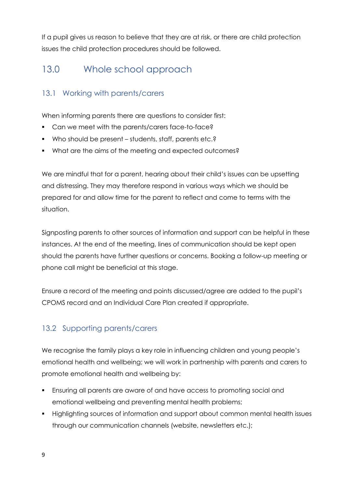If a pupil gives us reason to believe that they are at risk, or there are child protection issues the child protection procedures should be followed.

### 13.0 Whole school approach

### 13.1 Working with parents/carers

When informing parents there are questions to consider first:

- Can we meet with the parents/carers face-to-face?
- Who should be present students, staff, parents etc.?
- What are the aims of the meeting and expected outcomes?

We are mindful that for a parent, hearing about their child's issues can be upsetting and distressing. They may therefore respond in various ways which we should be prepared for and allow time for the parent to reflect and come to terms with the situation.

Signposting parents to other sources of information and support can be helpful in these instances. At the end of the meeting, lines of communication should be kept open should the parents have further questions or concerns. Booking a follow-up meeting or phone call might be beneficial at this stage.

Ensure a record of the meeting and points discussed/agree are added to the pupil's CPOMS record and an Individual Care Plan created if appropriate.

### 13.2 Supporting parents/carers

We recognise the family plays a key role in influencing children and young people's emotional health and wellbeing; we will work in partnership with parents and carers to promote emotional health and wellbeing by:

- Ensuring all parents are aware of and have access to promoting social and emotional wellbeing and preventing mental health problems;
- Highlighting sources of information and support about common mental health issues through our communication channels (website, newsletters etc.);